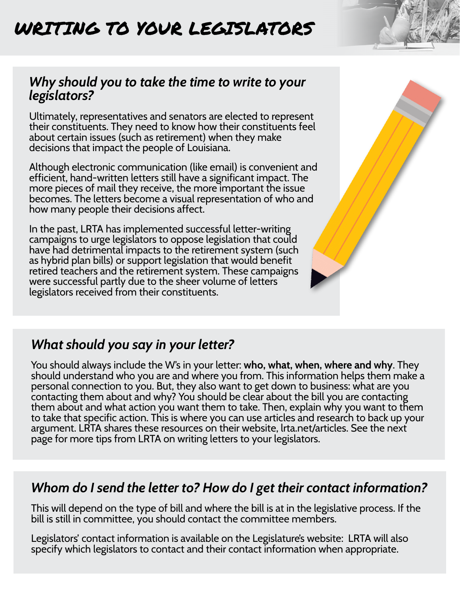# WRITING TO YOUR LEGISLATORS

#### *Why should you to take the time to write to your legislators?*

Ultimately, representatives and senators are elected to represent their constituents. They need to know how their constituents feel about certain issues (such as retirement) when they make decisions that impact the people of Louisiana.

Although electronic communication (like email) is convenient and efficient, hand-written letters still have a significant impact. The more pieces of mail they receive, the more important the issue becomes. The letters become a visual representation of who and how many people their decisions affect.

In the past, LRTA has implemented successful letter-writing campaigns to urge legislators to oppose legislation that could have had detrimental impacts to the retirement system (such as hybrid plan bills) or support legislation that would benefit retired teachers and the retirement system. These campaigns were successful partly due to the sheer volume of letters legislators received from their constituents.



You should always include the W's in your letter: **who, what, when, where and why**. They should understand who you are and where you from. This information helps them make a personal connection to you. But, they also want to get down to business: what are you contacting them about and why? You should be clear about the bill you are contacting them about and what action you want them to take. Then, explain why you want to them to take that specific action. This is where you can use articles and research to back up your argument. LRTA shares these resources on their website, lrta.net/articles. See the next page for more tips from LRTA on writing letters to your legislators.

### *Whom do I send the letter to? How do I get their contact information?*

This will depend on the type of bill and where the bill is at in the legislative process. If the bill is still in committee, you should contact the committee members.

Legislators' contact information is available on the Legislature's website: LRTA will also specify which legislators to contact and their contact information when appropriate.